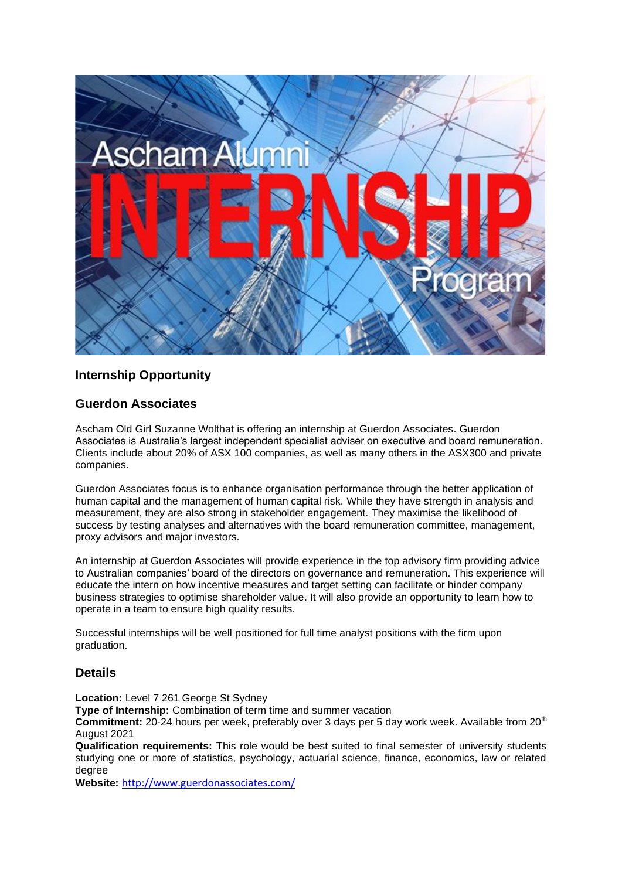

## **Internship Opportunity**

#### **Guerdon Associates**

Ascham Old Girl Suzanne Wolthat is offering an internship at Guerdon Associates. Guerdon Associates is Australia's largest independent specialist adviser on executive and board remuneration. Clients include about 20% of ASX 100 companies, as well as many others in the ASX300 and private companies.

Guerdon Associates focus is to enhance organisation performance through the better application of human capital and the management of human capital risk. While they have strength in analysis and measurement, they are also strong in stakeholder engagement. They maximise the likelihood of success by testing analyses and alternatives with the board remuneration committee, management, proxy advisors and major investors.

An internship at Guerdon Associates will provide experience in the top advisory firm providing advice to Australian companies' board of the directors on governance and remuneration. This experience will educate the intern on how incentive measures and target setting can facilitate or hinder company business strategies to optimise shareholder value. It will also provide an opportunity to learn how to operate in a team to ensure high quality results.

Successful internships will be well positioned for full time analyst positions with the firm upon graduation.

#### **Details**

**Location:** Level 7 261 George St Sydney

**Type of Internship:** Combination of term time and summer vacation

**Commitment:** 20-24 hours per week, preferably over 3 days per 5 day work week. Available from 20th August 2021

**Qualification requirements:** This role would be best suited to final semester of university students studying one or more of statistics, psychology, actuarial science, finance, economics, law or related degree

**Website:** <http://www.guerdonassociates.com/>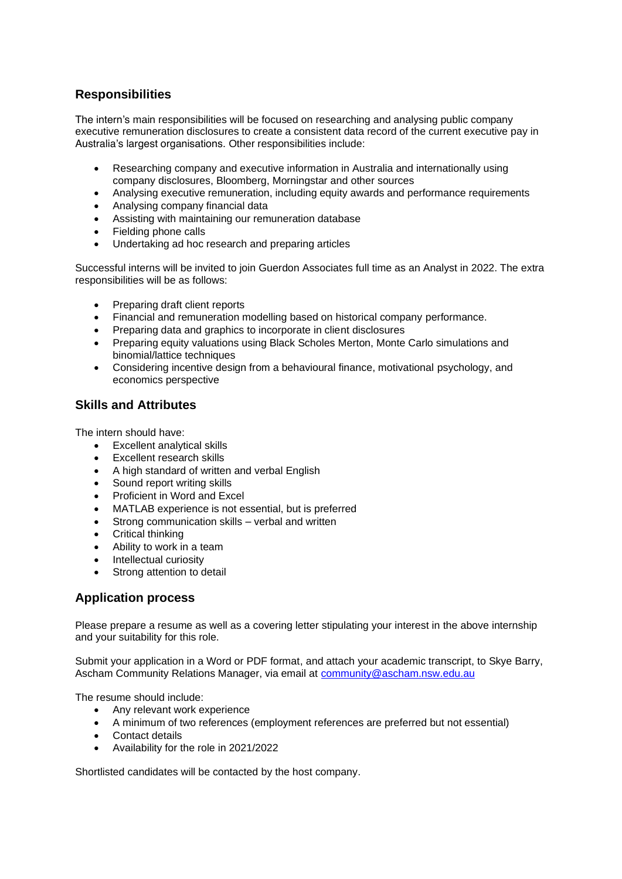# **Responsibilities**

The intern's main responsibilities will be focused on researching and analysing public company executive remuneration disclosures to create a consistent data record of the current executive pay in Australia's largest organisations. Other responsibilities include:

- Researching company and executive information in Australia and internationally using company disclosures, Bloomberg, Morningstar and other sources
- Analysing executive remuneration, including equity awards and performance requirements
- Analysing company financial data
- Assisting with maintaining our remuneration database
- Fielding phone calls
- Undertaking ad hoc research and preparing articles

Successful interns will be invited to join Guerdon Associates full time as an Analyst in 2022. The extra responsibilities will be as follows:

- Preparing draft client reports
- Financial and remuneration modelling based on historical company performance.
- Preparing data and graphics to incorporate in client disclosures
- Preparing equity valuations using Black Scholes Merton, Monte Carlo simulations and binomial/lattice techniques
- Considering incentive design from a behavioural finance, motivational psychology, and economics perspective

## **Skills and Attributes**

The intern should have:

- Excellent analytical skills
- Excellent research skills
- A high standard of written and verbal English
- Sound report writing skills
- Proficient in Word and Excel
- MATLAB experience is not essential, but is preferred
- Strong communication skills verbal and written
- Critical thinking
- Ability to work in a team
- Intellectual curiosity
- Strong attention to detail

## **Application process**

Please prepare a resume as well as a covering letter stipulating your interest in the above internship and your suitability for this role.

Submit your application in a Word or PDF format, and attach your academic transcript, to Skye Barry, Ascham Community Relations Manager, via email at [community@ascham.nsw.edu.au](mailto:community@ascham.nsw.edu.au)

The resume should include:

- Any relevant work experience
- A minimum of two references (employment references are preferred but not essential)
- Contact details
- Availability for the role in 2021/2022

Shortlisted candidates will be contacted by the host company.